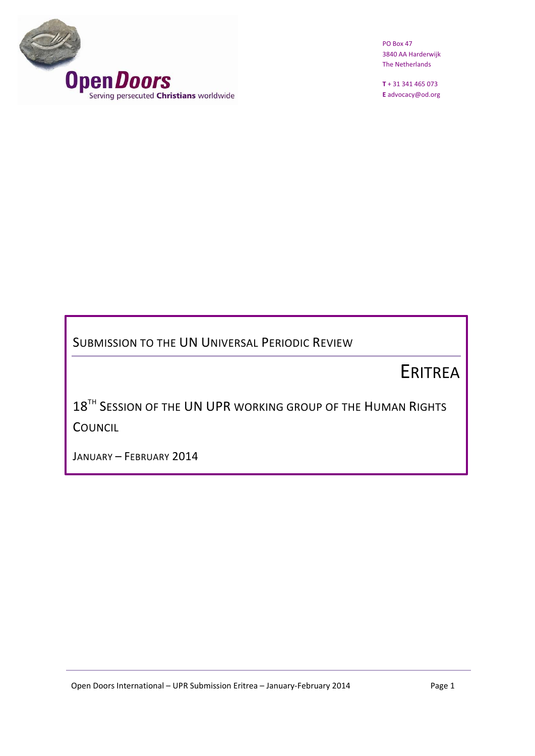

PO Box 47 3840 AA Harderwijk The Netherlands

**T** + 31 341 465 073 **E** advocacy@od.org

SUBMISSION TO THE UN UNIVERSAL PERIODIC REVIEW

# ERITREA

18<sup>TH</sup> SESSION OF THE UN UPR WORKING GROUP OF THE HUMAN RIGHTS **COUNCIL** 

JANUARY – FEBRUARY 2014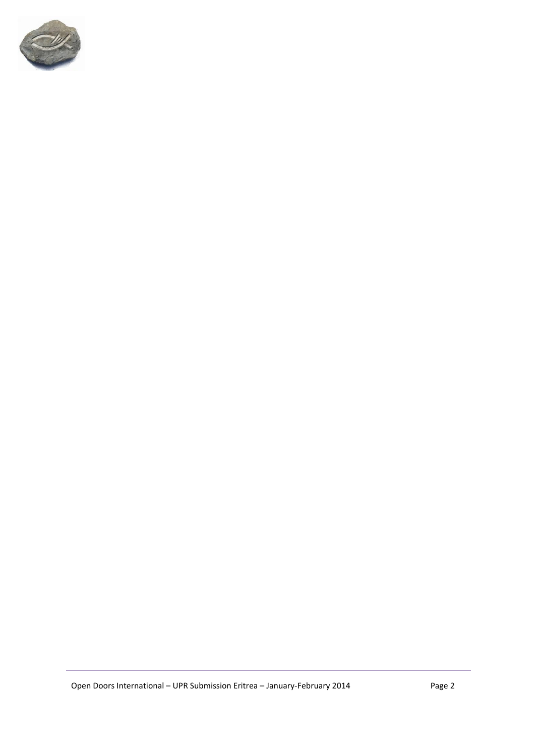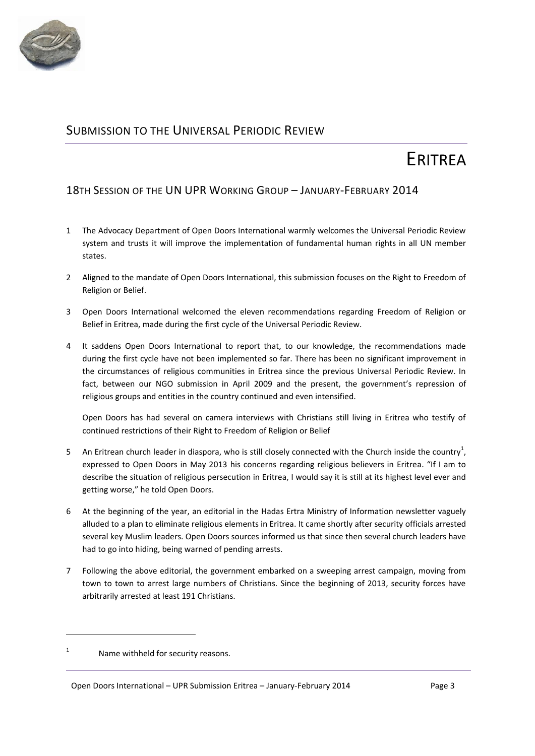

### SUBMISSION TO THE UNIVERSAL PERIODIC REVIEW

# ERITREA

#### 18TH SESSION OF THE UN UPR WORKING GROUP – JANUARY-FEBRUARY 2014

- 1 The Advocacy Department of Open Doors International warmly welcomes the Universal Periodic Review system and trusts it will improve the implementation of fundamental human rights in all UN member states.
- 2 Aligned to the mandate of Open Doors International, this submission focuses on the Right to Freedom of Religion or Belief.
- 3 Open Doors International welcomed the eleven recommendations regarding Freedom of Religion or Belief in Eritrea, made during the first cycle of the Universal Periodic Review.
- 4 It saddens Open Doors International to report that, to our knowledge, the recommendations made during the first cycle have not been implemented so far. There has been no significant improvement in the circumstances of religious communities in Eritrea since the previous Universal Periodic Review. In fact, between our NGO submission in April 2009 and the present, the government's repression of religious groups and entities in the country continued and even intensified.

Open Doors has had several on camera interviews with Christians still living in Eritrea who testify of continued restrictions of their Right to Freedom of Religion or Belief

- 5 An Eritrean church leader in diaspora, who is still closely connected with the Church inside the country<sup>1</sup>, expressed to Open Doors in May 2013 his concerns regarding religious believers in Eritrea. "If I am to describe the situation of religious persecution in Eritrea, I would say it is still at its highest level ever and getting worse," he told Open Doors.
- 6 At the beginning of the year, an editorial in the Hadas Ertra Ministry of Information newsletter vaguely alluded to a plan to eliminate religious elements in Eritrea. It came shortly after security officials arrested several key Muslim leaders. Open Doors sources informed us that since then several church leaders have had to go into hiding, being warned of pending arrests.
- 7 Following the above editorial, the government embarked on a sweeping arrest campaign, moving from town to town to arrest large numbers of Christians. Since the beginning of 2013, security forces have arbitrarily arrested at least 191 Christians.

 $\overline{a}$ 

<sup>1</sup> Name withheld for security reasons.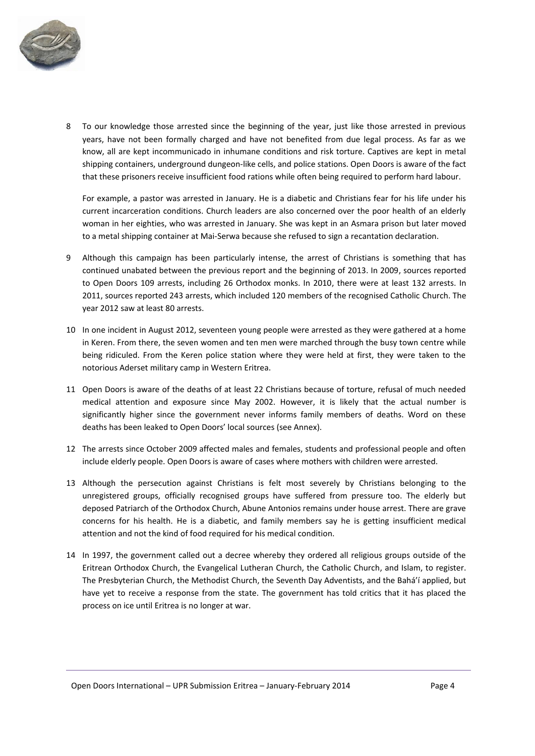

8 To our knowledge those arrested since the beginning of the year, just like those arrested in previous years, have not been formally charged and have not benefited from due legal process. As far as we know, all are kept incommunicado in inhumane conditions and risk torture. Captives are kept in metal shipping containers, underground dungeon-like cells, and police stations. Open Doors is aware of the fact that these prisoners receive insufficient food rations while often being required to perform hard labour.

For example, a pastor was arrested in January. He is a diabetic and Christians fear for his life under his current incarceration conditions. Church leaders are also concerned over the poor health of an elderly woman in her eighties, who was arrested in January. She was kept in an Asmara prison but later moved to a metal shipping container at Mai-Serwa because she refused to sign a recantation declaration.

- 9 Although this campaign has been particularly intense, the arrest of Christians is something that has continued unabated between the previous report and the beginning of 2013. In 2009, sources reported to Open Doors 109 arrests, including 26 Orthodox monks. In 2010, there were at least 132 arrests. In 2011, sources reported 243 arrests, which included 120 members of the recognised Catholic Church. The year 2012 saw at least 80 arrests.
- 10 In one incident in August 2012, seventeen young people were arrested as they were gathered at a home in Keren. From there, the seven women and ten men were marched through the busy town centre while being ridiculed. From the Keren police station where they were held at first, they were taken to the notorious Aderset military camp in Western Eritrea.
- 11 Open Doors is aware of the deaths of at least 22 Christians because of torture, refusal of much needed medical attention and exposure since May 2002. However, it is likely that the actual number is significantly higher since the government never informs family members of deaths. Word on these deaths has been leaked to Open Doors' local sources (see Annex).
- 12 The arrests since October 2009 affected males and females, students and professional people and often include elderly people. Open Doors is aware of cases where mothers with children were arrested.
- 13 Although the persecution against Christians is felt most severely by Christians belonging to the unregistered groups, officially recognised groups have suffered from pressure too. The elderly but deposed Patriarch of the Orthodox Church, Abune Antonios remains under house arrest. There are grave concerns for his health. He is a diabetic, and family members say he is getting insufficient medical attention and not the kind of food required for his medical condition.
- 14 In 1997, the government called out a decree whereby they ordered all religious groups outside of the Eritrean Orthodox Church, the Evangelical Lutheran Church, the Catholic Church, and Islam, to register. The Presbyterian Church, the Methodist Church, the Seventh Day Adventists, and the Bahá'í applied, but have yet to receive a response from the state. The government has told critics that it has placed the process on ice until Eritrea is no longer at war.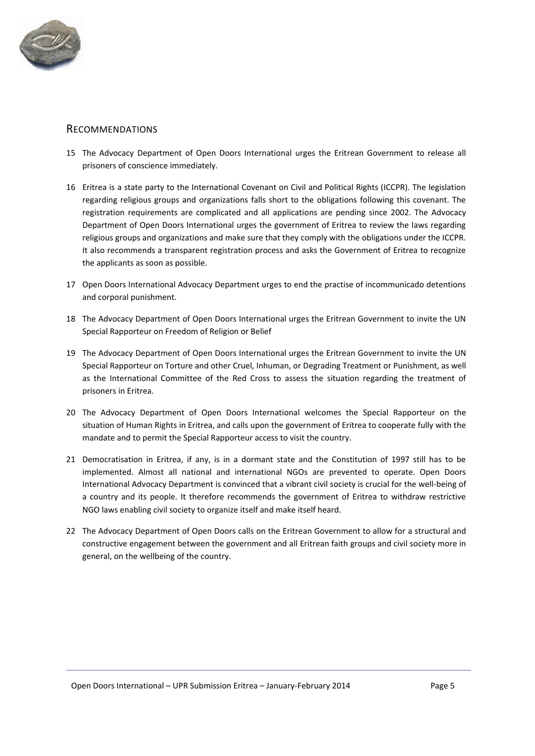

#### **RECOMMENDATIONS**

- 15 The Advocacy Department of Open Doors International urges the Eritrean Government to release all prisoners of conscience immediately.
- 16 Eritrea is a state party to the International Covenant on Civil and Political Rights (ICCPR). The legislation regarding religious groups and organizations falls short to the obligations following this covenant. The registration requirements are complicated and all applications are pending since 2002. The Advocacy Department of Open Doors International urges the government of Eritrea to review the laws regarding religious groups and organizations and make sure that they comply with the obligations under the ICCPR. It also recommends a transparent registration process and asks the Government of Eritrea to recognize the applicants as soon as possible.
- 17 Open Doors International Advocacy Department urges to end the practise of incommunicado detentions and corporal punishment.
- 18 The Advocacy Department of Open Doors International urges the Eritrean Government to invite the UN Special Rapporteur on Freedom of Religion or Belief
- 19 The Advocacy Department of Open Doors International urges the Eritrean Government to invite the UN Special Rapporteur on Torture and other Cruel, Inhuman, or Degrading Treatment or Punishment, as well as the International Committee of the Red Cross to assess the situation regarding the treatment of prisoners in Eritrea.
- 20 The Advocacy Department of Open Doors International welcomes the Special Rapporteur on the situation of Human Rights in Eritrea, and calls upon the government of Eritrea to cooperate fully with the mandate and to permit the Special Rapporteur access to visit the country.
- 21 Democratisation in Eritrea, if any, is in a dormant state and the Constitution of 1997 still has to be implemented. Almost all national and international NGOs are prevented to operate. Open Doors International Advocacy Department is convinced that a vibrant civil society is crucial for the well-being of a country and its people. It therefore recommends the government of Eritrea to withdraw restrictive NGO laws enabling civil society to organize itself and make itself heard.
- 22 The Advocacy Department of Open Doors calls on the Eritrean Government to allow for a structural and constructive engagement between the government and all Eritrean faith groups and civil society more in general, on the wellbeing of the country.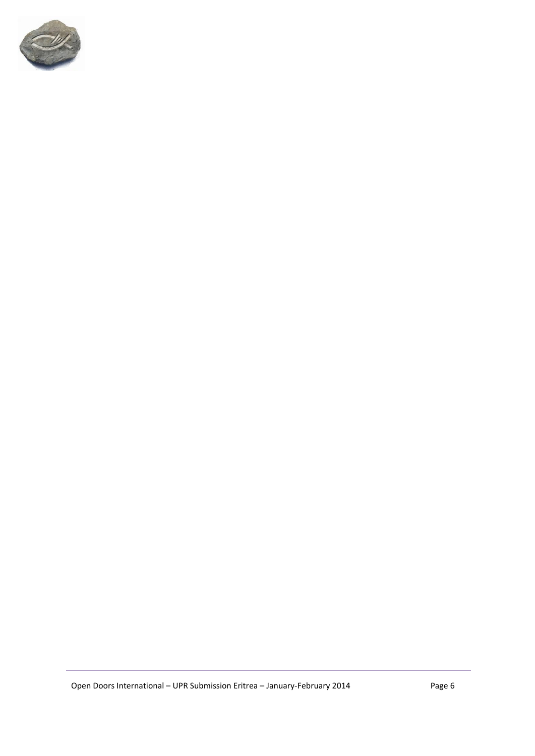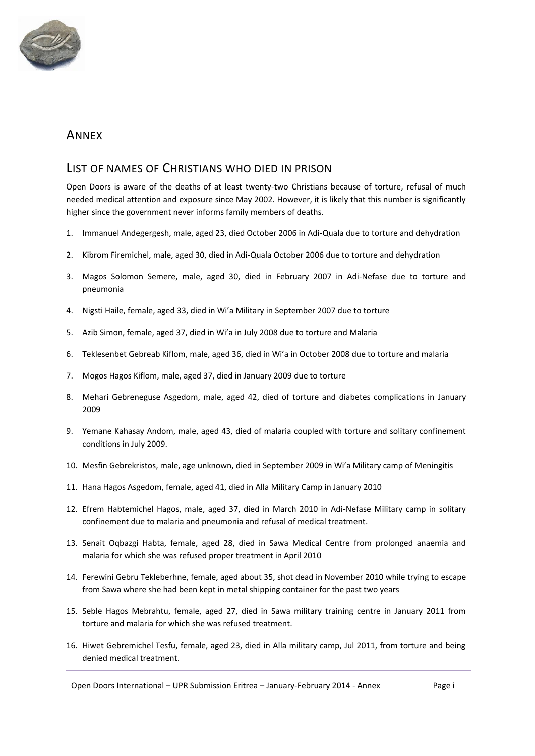

### **ANNEX**

#### LIST OF NAMES OF CHRISTIANS WHO DIED IN PRISON

Open Doors is aware of the deaths of at least twenty-two Christians because of torture, refusal of much needed medical attention and exposure since May 2002. However, it is likely that this number is significantly higher since the government never informs family members of deaths.

- 1. Immanuel Andegergesh, male, aged 23, died October 2006 in Adi-Quala due to torture and dehydration
- 2. Kibrom Firemichel, male, aged 30, died in Adi-Quala October 2006 due to torture and dehydration
- 3. Magos Solomon Semere, male, aged 30, died in February 2007 in Adi-Nefase due to torture and pneumonia
- 4. Nigsti Haile, female, aged 33, died in Wi'a Military in September 2007 due to torture
- 5. Azib Simon, female, aged 37, died in Wi'a in July 2008 due to torture and Malaria
- 6. Teklesenbet Gebreab Kiflom, male, aged 36, died in Wi'a in October 2008 due to torture and malaria
- 7. Mogos Hagos Kiflom, male, aged 37, died in January 2009 due to torture
- 8. Mehari Gebreneguse Asgedom, male, aged 42, died of torture and diabetes complications in January 2009
- 9. Yemane Kahasay Andom, male, aged 43, died of malaria coupled with torture and solitary confinement conditions in July 2009.
- 10. Mesfin Gebrekristos, male, age unknown, died in September 2009 in Wi'a Military camp of Meningitis
- 11. Hana Hagos Asgedom, female, aged 41, died in Alla Military Camp in January 2010
- 12. Efrem Habtemichel Hagos, male, aged 37, died in March 2010 in Adi-Nefase Military camp in solitary confinement due to malaria and pneumonia and refusal of medical treatment.
- 13. Senait Oqbazgi Habta, female, aged 28, died in Sawa Medical Centre from prolonged anaemia and malaria for which she was refused proper treatment in April 2010
- 14. Ferewini Gebru Tekleberhne, female, aged about 35, shot dead in November 2010 while trying to escape from Sawa where she had been kept in metal shipping container for the past two years
- 15. Seble Hagos Mebrahtu, female, aged 27, died in Sawa military training centre in January 2011 from torture and malaria for which she was refused treatment.
- 16. Hiwet Gebremichel Tesfu, female, aged 23, died in Alla military camp, Jul 2011, from torture and being denied medical treatment.

Open Doors International – UPR Submission Eritrea – January-February 2014 - Annex Page i